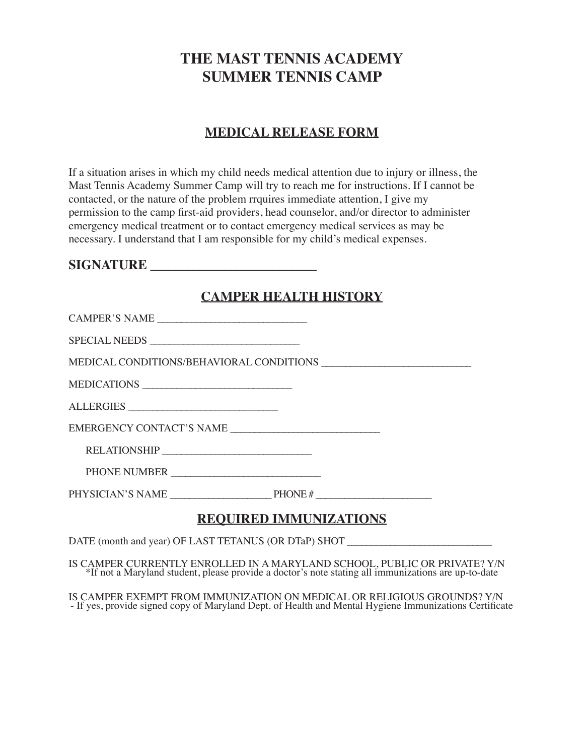### **THE MAST TENNIS ACADEMY SUMMER TENNIS CAMP**

### **MEDICAL RELEASE FORM**

If a situation arises in which my child needs medical attention due to injury or illness, the Mast Tennis Academy Summer Camp will try to reach me for instructions. If I cannot be contacted, or the nature of the problem rrquires immediate attention, I give my permission to the camp first-aid providers, head counselor, and/or director to administer emergency medical treatment or to contact emergency medical services as may be necessary. I understand that I am responsible for my child's medical expenses.

#### $$

### **CAMPER HEALTH HISTORY**

| CAMPER'S NAME              |  |  |
|----------------------------|--|--|
| SPECIAL NEEDS              |  |  |
|                            |  |  |
| MEDICATIONS                |  |  |
| ALLERGIES                  |  |  |
|                            |  |  |
|                            |  |  |
| PHONE NUMBER               |  |  |
|                            |  |  |
| DEATHDER IN A STRIP LETATO |  |  |

### **REQUIRED IMMUNIZATIONS**

DATE (month and year) OF LAST TETANUS (OR DTaP) SHOT

IS CAMPER CURRENTLY ENROLLED IN A MARYLAND SCHOOL, PUBLIC OR PRIVATE? Y/N \*If not a Maryland student, please provide a doctor's note stating all immunizations are up-to-date

IS CAMPER EXEMPT FROM IMMUNIZATION ON MEDICAL OR RELIGIOUS GROUNDS? Y/N - If yes, provide signed copy of Maryland Dept. of Health and Mental Hygiene Immunizations Certificate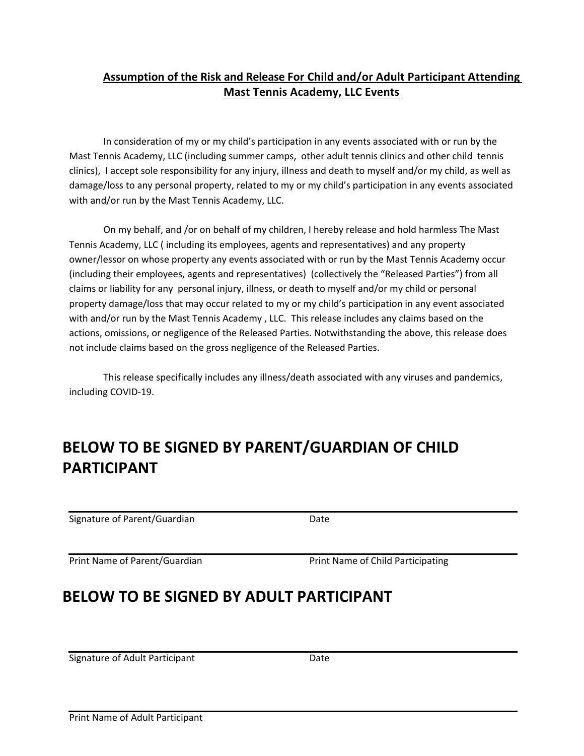### **Assumption of the Risk and Release For Child and/or Adult Participant Attending Mast Tennis Academy, LLC Events**

In consideration of my or my child's participation in any events associated with or run by the Mast Tennis Academy, LLC (including summer camps, other adult tennis clinics and other child tennis clinics), I accept sole responsibility for any injury, illness and death to myself and/or my child, as well as damage/loss to any personal property, related to my or my child's participation in any events associated with and/or run by the Mast Tennis Academy, LLC.

On my behalf, and /or on behalf of my children, I hereby release and hold harmless The Mast Tennis Academy, LLC ( including its employees, agents and representatives) and any property owner/lessor on whose property any events associated with or run by the Mast Tennis Academy occur (including their employees, agents and representatives) (collectively the "Released Parties") from all claims or liability for any personal injury, illness, or death to myself and/or my child or personal property damage/loss that may occur related to my or my child's participation in any event associated with and/or run by the Mast Tennis Academy, LLC. This release includes any claims based on the actions, omissions, or negligence of the Released Parties. Notwithstanding the above, this release does not include claims based on the gross negligence of the Released Parties.

This release specifically includes any illness/death associated with any viruses and pandemics, including COVID-19.

### **BELOW TO BE SIGNED BY PARENT/GUARDIAN OF CHILD PARTICIPANT**

Signature of Parent/Guardian Date

Print Name of Parent/Guardian **Print Name of Child Participating** 

### **BELOW TO BE SIGNED BY ADULT PARTICIPANT**

Signature of Adult Participant **Date**